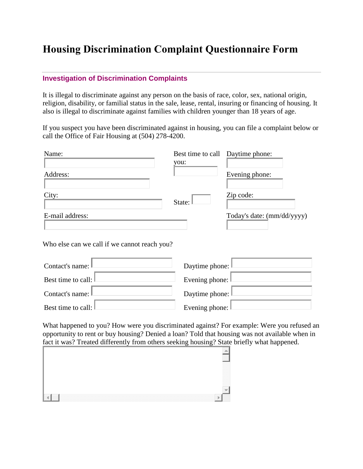## **Housing Discrimination Complaint Questionnaire Form**

## **Investigation of [Discrimination](http://phoenix.gov/eod/investigations/index.html) Complaints**

It is illegal to discriminate against any person on the basis of race, color, sex, national origin, religion, disability, or familial status in the sale, lease, rental, insuring or financing of housing. It also is illegal to discriminate against families with children younger than 18 years of age.

If you suspect you have been discriminated against in housing, you can file a complaint below or call the Office of Fair Housing at (504) 278-4200.

| Name:           | Best time to call Daytime phone:<br>you: |                            |
|-----------------|------------------------------------------|----------------------------|
| Address:        |                                          | Evening phone:             |
| City:           |                                          | Zip code:                  |
| E-mail address: | State:                                   | Today's date: (mm/dd/yyyy) |
|                 |                                          |                            |

Who else can we call if we cannot reach you?

| Contact's name: L               | Daytime phone: I            |
|---------------------------------|-----------------------------|
| Best time to call: $\mathbb{L}$ | Evening phone: $\ $         |
| Contact's name: $\mathbb L$     | Daytime phone:              |
| Best time to call: I            | Evening phone: $\mathbb{I}$ |

What happened to you? How were you discriminated against? For example: Were you refused an opportunity to rent or buy housing? Denied a loan? Told that housing was not available when in fact it was? Treated differently from others seeking housing? State briefly what happened.

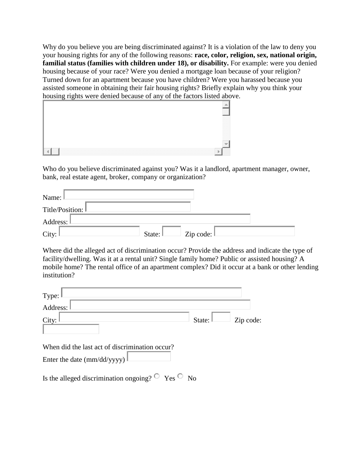Why do you believe you are being discriminated against? It is a violation of the law to deny you your housing rights for any of the following reasons: **race, color, religion, sex, national origin, familial status (families with children under 18), or disability.** For example: were you denied housing because of your race? Were you denied a mortgage loan because of your religion? Turned down for an apartment because you have children? Were you harassed because you assisted someone in obtaining their fair housing rights? Briefly explain why you think your housing rights were denied because of any of the factors listed above.

| --0 |  |   |
|-----|--|---|
|     |  |   |
|     |  |   |
|     |  |   |
|     |  | æ |
|     |  |   |
|     |  |   |
|     |  |   |
|     |  | в |

Who do you believe discriminated against you? Was it a landlord, apartment manager, owner, bank, real estate agent, broker, company or organization?

| Name:              |                     |                        |  |
|--------------------|---------------------|------------------------|--|
| Title/Position: L  |                     |                        |  |
| Address: I         |                     |                        |  |
| City: $\mathbb{I}$ | State: $\mathbb{L}$ | Zip code: $\mathbb{I}$ |  |

Where did the alleged act of discrimination occur? Provide the address and indicate the type of facility/dwelling. Was it at a rental unit? Single family home? Public or assisted housing? A mobile home? The rental office of an apartment complex? Did it occur at a bank or other lending institution?

| Type:                                                         |                     |           |
|---------------------------------------------------------------|---------------------|-----------|
| Address:                                                      |                     |           |
| City:                                                         | State: $\mathbb{L}$ | Zip code: |
| When did the last act of discrimination occur?                |                     |           |
| Enter the date (mm/dd/yyyy)                                   |                     |           |
| Is the alleged discrimination ongoing? $\circ$ Yes $\circ$ No |                     |           |